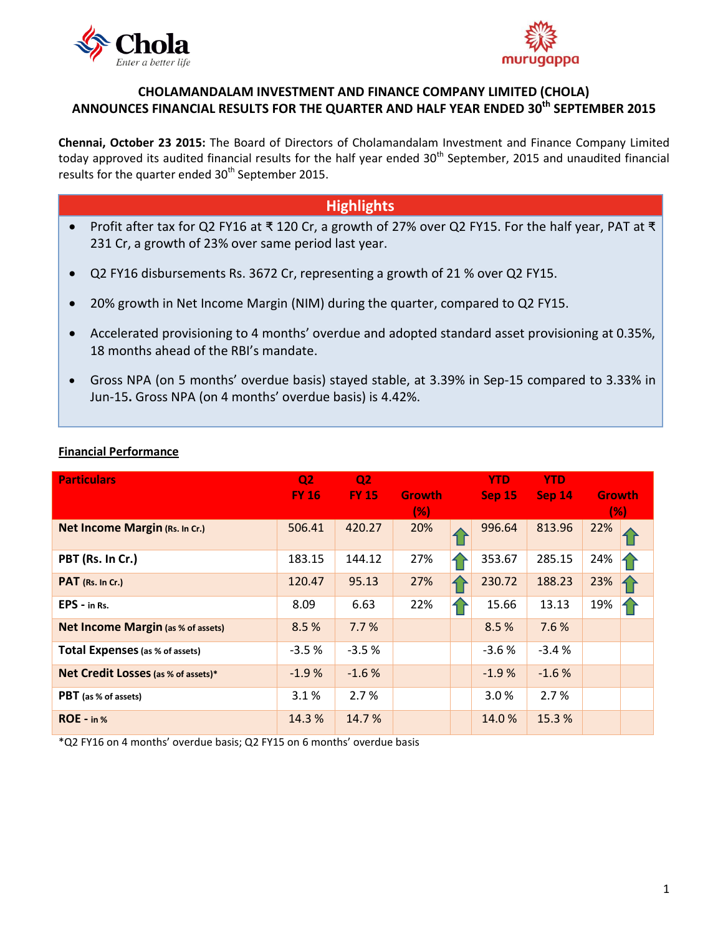



## **CHOLAMANDALAM INVESTMENT AND FINANCE COMPANY LIMITED (CHOLA) ANNOUNCES FINANCIAL RESULTS FOR THE QUARTER AND HALF YEAR ENDED 30 th SEPTEMBER 2015**

**Chennai, October 23 2015:** The Board of Directors of [Cholamandalam Investment and Finance Company Limited](http://www.cholamandalam.com/) today approved its audited financial results for the half year ended 30<sup>th</sup> September, 2015 and unaudited financial results for the quarter ended 30<sup>th</sup> September 2015.

# **Highlights**

- Profit after tax for Q2 FY16 at ₹ 120 Cr, a growth of 27% over Q2 FY15. For the half year, PAT at ₹ 231 Cr, a growth of 23% over same period last year.
- Q2 FY16 disbursements Rs. 3672 Cr, representing a growth of 21 % over Q2 FY15.
- 20% growth in Net Income Margin (NIM) during the quarter, compared to Q2 FY15.
- Accelerated provisioning to 4 months' overdue and adopted standard asset provisioning at 0.35%, 18 months ahead of the RBI's mandate.
- Gross NPA (on 5 months' overdue basis) stayed stable, at 3.39% in Sep-15 compared to 3.33% in Jun-15**.** Gross NPA (on 4 months' overdue basis) is 4.42%.

| <b>Particulars</b>                        | Q <sub>2</sub><br><b>FY 16</b> | Q <sub>2</sub><br><b>FY 15</b> | <b>Growth</b><br>(% ) |    | <b>YTD</b><br><b>Sep 15</b> | <b>YTD</b><br><b>Sep 14</b> | <b>Growth</b><br>(%) |
|-------------------------------------------|--------------------------------|--------------------------------|-----------------------|----|-----------------------------|-----------------------------|----------------------|
| Net Income Margin (Rs. In Cr.)            | 506.41                         | 420.27                         | 20%                   |    | 996.64                      | 813.96                      | 22%                  |
| PBT (Rs. In Cr.)                          | 183.15                         | 144.12                         | 27%                   |    | 353.67                      | 285.15                      | 24%                  |
| PAT (Rs. In Cr.)                          | 120.47                         | 95.13                          | 27%                   | 1) | 230.72                      | 188.23                      | 23%                  |
| $EPS - in Rs.$                            | 8.09                           | 6.63                           | 22%                   |    | 15.66                       | 13.13                       | 19%                  |
| <b>Net Income Margin (as % of assets)</b> | 8.5%                           | 7.7%                           |                       |    | 8.5 %                       | 7.6%                        |                      |
| <b>Total Expenses</b> (as % of assets)    | $-3.5%$                        | $-3.5%$                        |                       |    | $-3.6%$                     | $-3.4%$                     |                      |
| Net Credit Losses (as % of assets)*       | $-1.9%$                        | $-1.6%$                        |                       |    | $-1.9%$                     | $-1.6%$                     |                      |
| <b>PBT</b> (as % of assets)               | 3.1%                           | 2.7%                           |                       |    | 3.0%                        | 2.7%                        |                      |
| $ROE - in %$                              | 14.3 %                         | 14.7%                          |                       |    | 14.0%                       | 15.3%                       |                      |

### **Financial Performance**

\*Q2 FY16 on 4 months' overdue basis; Q2 FY15 on 6 months' overdue basis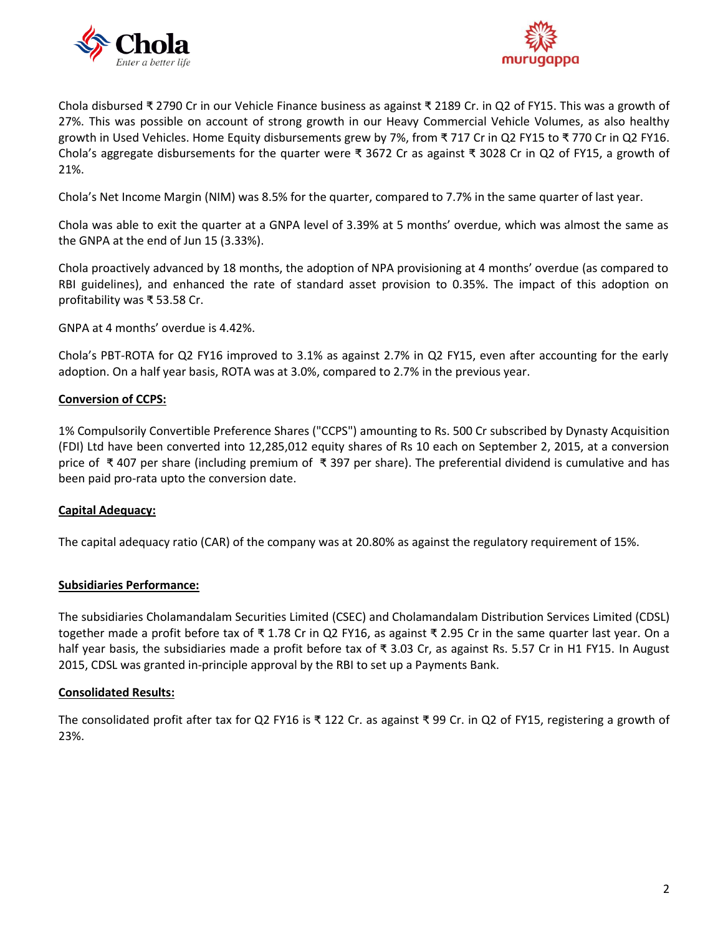



Chola disbursed ₹ 2790 Cr in our Vehicle Finance business as against ₹ 2189 Cr. in Q2 of FY15. This was a growth of 27%. This was possible on account of strong growth in our Heavy Commercial Vehicle Volumes, as also healthy growth in Used Vehicles. Home Equity disbursements grew by 7%, from ₹ 717 Cr in Q2 FY15 to ₹ 770 Cr in Q2 FY16. Chola's aggregate disbursements for the quarter were ₹ 3672 Cr as against ₹ 3028 Cr in Q2 of FY15, a growth of 21%.

Chola's Net Income Margin (NIM) was 8.5% for the quarter, compared to 7.7% in the same quarter of last year.

Chola was able to exit the quarter at a GNPA level of 3.39% at 5 months' overdue, which was almost the same as the GNPA at the end of Jun 15 (3.33%).

Chola proactively advanced by 18 months, the adoption of NPA provisioning at 4 months' overdue (as compared to RBI guidelines), and enhanced the rate of standard asset provision to 0.35%. The impact of this adoption on profitability was ₹ 53.58 Cr.

GNPA at 4 months' overdue is 4.42%.

Chola's PBT-ROTA for Q2 FY16 improved to 3.1% as against 2.7% in Q2 FY15, even after accounting for the early adoption. On a half year basis, ROTA was at 3.0%, compared to 2.7% in the previous year.

#### **Conversion of CCPS:**

1% Compulsorily Convertible Preference Shares ("CCPS") amounting to Rs. 500 Cr subscribed by Dynasty Acquisition (FDI) Ltd have been converted into 12,285,012 equity shares of Rs 10 each on September 2, 2015, at a conversion price of ₹ 407 per share (including premium of ₹ 397 per share). The preferential dividend is cumulative and has been paid pro-rata upto the conversion date.

#### **Capital Adequacy:**

The capital adequacy ratio (CAR) of the company was at 20.80% as against the regulatory requirement of 15%.

#### **Subsidiaries Performance:**

The subsidiaries [Cholamandalam Securities Limited](http://www.cholawealthdirect.com/) (CSEC) and [Cholamandalam Distribution Services Limited](http://www.cholawealthdirect.com/) (CDSL) together made a profit before tax of ₹ 1.78 Cr in Q2 FY16, as against ₹ 2.95 Cr in the same quarter last year. On a half year basis, the subsidiaries made a profit before tax of ₹ 3.03 Cr, as against Rs. 5.57 Cr in H1 FY15. In August 2015, CDSL was granted in-principle approval by the RBI to set up a Payments Bank.

#### **Consolidated Results:**

The consolidated profit after tax for Q2 FY16 is ₹ 122 Cr. as against ₹ 99 Cr. in Q2 of FY15, registering a growth of 23%.